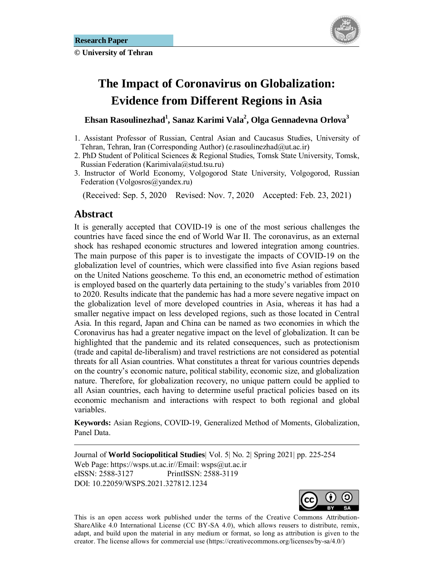**© University of Tehran** 



# **The Impact of Coronavirus on Globalization: Evidence from Different Regions in Asia**

### **Ehsan Rasoulinezhad1 , Sanaz Karimi Vala2 , Olga Gennadevna Orlova3**

- 1. Assistant Professor of Russian, Central Asian and Caucasus Studies, University of Tehran, Tehran, Iran (Corresponding Author) (e.rasoulinezhad $@$ ut.ac.ir)
- 2. PhD Student of Political Sciences & Regional Studies, Tomsk State University, Tomsk, Russian Federation (Karimivala@stud.tsu.ru)
- 3. Instructor of World Economy, Volgogorod State University, Volgogorod, Russian Federation (Volgosros@yandex.ru)

(Received: Sep. 5, 2020 Revised: Nov. 7, 2020 Accepted: Feb. 23, 2021)

### Abstract

1

It is generally accepted that COVID-19 is one of the most serious challenges the countries have faced since the end of World War II. The coronavirus, as an external shock has reshaped economic structures and lowered integration among countries. The main purpose of this paper is to investigate the impacts of COVID-19 on the globalization level of countries, which were classified into five Asian regions based on the United Nations geoscheme. To this end, an econometric method of estimation is employed based on the quarterly data pertaining to the study's variables from 2010 to 2020. Results indicate that the pandemic has had a more severe negative impact on the globalization level of more developed countries in Asia, whereas it has had a smaller negative impact on less developed regions, such as those located in Central Asia. In this regard, Japan and China can be named as two economies in which the Coronavirus has had a greater negative impact on the level of globalization. It can be highlighted that the pandemic and its related consequences, such as protectionism (trade and capital de-liberalism) and travel restrictions are not considered as potential threats for all Asian countries. What constitutes a threat for various countries depends on the country's economic nature, political stability, economic size, and globalization nature. Therefore, for globalization recovery, no unique pattern could be applied to all Asian countries, each having to determine useful practical policies based on its economic mechanism and interactions with respect to both regional and global variables.

**Keywords:** Asian Regions, COVID-19, Generalized Method of Moments, Globalization, Panel Data.

Journal of **World Sociopolitical Studies**| Vol. 5| No. 2| Spring 2021| pp. 225-254 Web Page: https://wsps.ut.ac.ir//Email: wsps@ut.ac.ir eISSN: 2588-3127 PrintISSN: 2588-3119 DOI: 10.22059/WSPS.2021.327812.1234



This is an open access work published under the terms of the Creative Commons Attribution-ShareAlike 4.0 International License (CC BY-SA 4.0), which allows reusers to distribute, remix, adapt, and build upon the material in any medium or format, so long as attribution is given to the creator. The license allows for commercial use (https://creativecommons.org/licenses/by-sa/4.0/)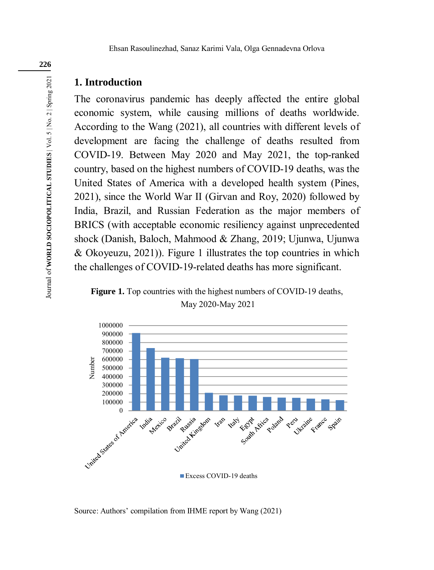### **1. Introduction**

The coronavirus pandemic has deeply affected the entire global economic system, while causing millions of deaths worldwide. According to the Wang (2021), all countries with different levels of development are facing the challenge of deaths resulted from COVID-19. Between May 2020 and May 2021, the top-ranked country, based on the highest numbers of COVID-19 deaths, was the United States of America with a developed health system (Pines, 2021), since the World War II (Girvan and Roy, 2020) followed by India, Brazil, and Russian Federation as the major members of BRICS (with acceptable economic resiliency against unprecedented shock (Danish, Baloch, Mahmood & Zhang, 2019; Ujunwa, Ujunwa & Okoyeuzu, 2021)). Figure 1 illustrates the top countries in which the challenges of COVID-19-related deaths has more significant.

**Figure 1.** Top countries with the highest numbers of COVID-19 deaths, May 2020-May 2021



Source: Authors' compilation from IHME report by Wang (2021)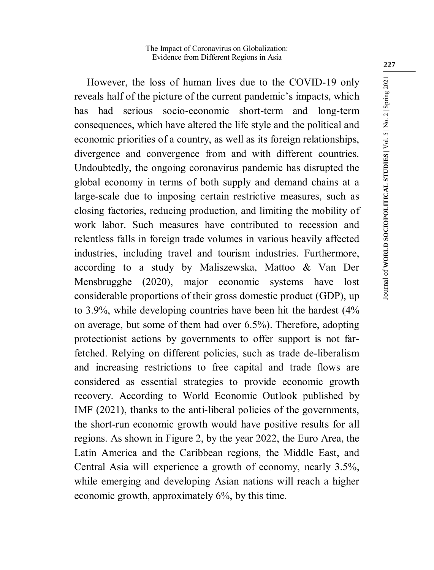However, the loss of human lives due to the COVID-19 only reveals half of the picture of the current pandemic's impacts, which has had serious socio-economic short-term and long-term consequences, which have altered the life style and the political and economic priorities of a country, as well as its foreign relationships, divergence and convergence from and with different countries. Undoubtedly, the ongoing coronavirus pandemic has disrupted the global economy in terms of both supply and demand chains at a large-scale due to imposing certain restrictive measures, such as closing factories, reducing production, and limiting the mobility of work labor. Such measures have contributed to recession and relentless falls in foreign trade volumes in various heavily affected industries, including travel and tourism industries. Furthermore, according to a study by Maliszewska, Mattoo & Van Der Mensbrugghe (2020), major economic systems have lost considerable proportions of their gross domestic product (GDP), up to 3.9%, while developing countries have been hit the hardest (4% on average, but some of them had over 6.5%). Therefore, adopting protectionist actions by governments to offer support is not farfetched. Relying on different policies, such as trade de-liberalism and increasing restrictions to free capital and trade flows are considered as essential strategies to provide economic growth recovery. According to World Economic Outlook published by IMF (2021), thanks to the anti-liberal policies of the governments, the short-run economic growth would have positive results for all regions. As shown in Figure 2, by the year 2022, the Euro Area, the Latin America and the Caribbean regions, the Middle East, and Central Asia will experience a growth of economy, nearly 3.5%, while emerging and developing Asian nations will reach a higher economic growth, approximately 6%, by this time.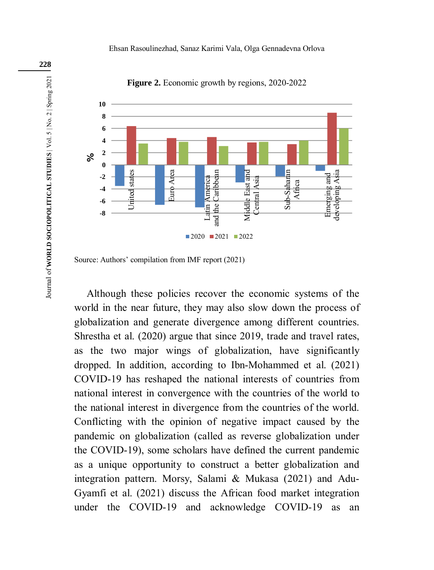

**Figure 2.** Economic growth by regions, 2020-2022

Although these policies recover the economic systems of the world in the near future, they may also slow down the process of globalization and generate divergence among different countries. Shrestha et al. (2020) argue that since 2019, trade and travel rates, as the two major wings of globalization, have significantly dropped. In addition, according to Ibn-Mohammed et al. (2021) COVID-19 has reshaped the national interests of countries from national interest in convergence with the countries of the world to the national interest in divergence from the countries of the world. Conflicting with the opinion of negative impact caused by the pandemic on globalization (called as reverse globalization under the COVID-19), some scholars have defined the current pandemic as a unique opportunity to construct a better globalization and integration pattern. Morsy, Salami & Mukasa (2021) and Adu-Gyamfi et al. (2021) discuss the African food market integration under the COVID-19 and acknowledge COVID-19 as an

Source: Authors' compilation from IMF report (2021)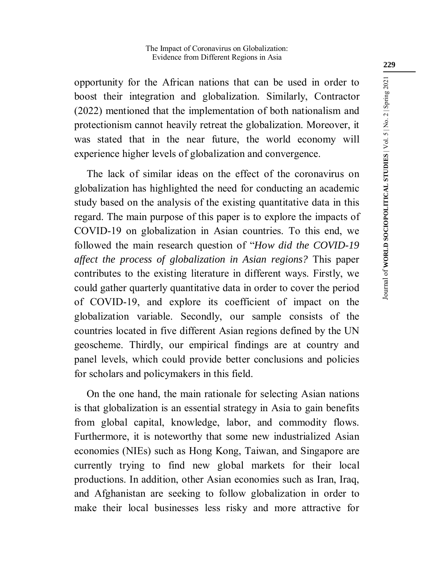opportunity for the African nations that can be used in order to boost their integration and globalization. Similarly, Contractor (2022) mentioned that the implementation of both nationalism and protectionism cannot heavily retreat the globalization. Moreover, it was stated that in the near future, the world economy will experience higher levels of globalization and convergence.

The lack of similar ideas on the effect of the coronavirus on globalization has highlighted the need for conducting an academic study based on the analysis of the existing quantitative data in this regard. The main purpose of this paper is to explore the impacts of COVID-19 on globalization in Asian countries. To this end, we followed the main research question of "*How did the COVID-19 affect the process of globalization in Asian regions?* This paper contributes to the existing literature in different ways. Firstly, we could gather quarterly quantitative data in order to cover the period of COVID-19, and explore its coefficient of impact on the globalization variable. Secondly, our sample consists of the countries located in five different Asian regions defined by the UN geoscheme. Thirdly, our empirical findings are at country and panel levels, which could provide better conclusions and policies for scholars and policymakers in this field.

On the one hand, the main rationale for selecting Asian nations is that globalization is an essential strategy in Asia to gain benefits from global capital, knowledge, labor, and commodity flows. Furthermore, it is noteworthy that some new industrialized Asian economies (NIEs) such as Hong Kong, Taiwan, and Singapore are currently trying to find new global markets for their local productions. In addition, other Asian economies such as Iran, Iraq, and Afghanistan are seeking to follow globalization in order to make their local businesses less risky and more attractive for

**229**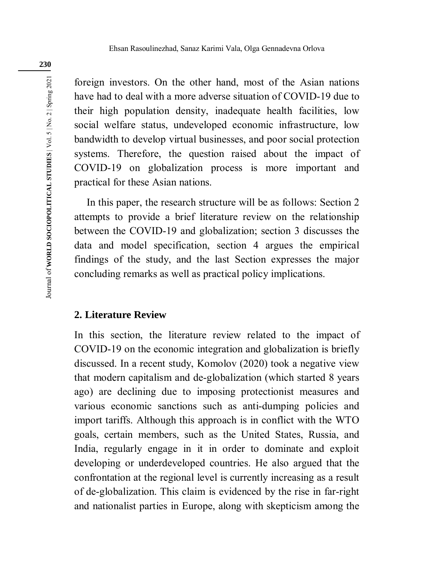foreign investors. On the other hand, most of the Asian nations have had to deal with a more adverse situation of COVID-19 due to their high population density, inadequate health facilities, low social welfare status, undeveloped economic infrastructure, low bandwidth to develop virtual businesses, and poor social protection systems. Therefore, the question raised about the impact of COVID-19 on globalization process is more important and practical for these Asian nations.

In this paper, the research structure will be as follows: Section 2 attempts to provide a brief literature review on the relationship between the COVID-19 and globalization; section 3 discusses the data and model specification, section 4 argues the empirical findings of the study, and the last Section expresses the major concluding remarks as well as practical policy implications.

### **2. Literature Review**

In this section, the literature review related to the impact of COVID-19 on the economic integration and globalization is briefly discussed. In a recent study, Komolov (2020) took a negative view that modern capitalism and de-globalization (which started 8 years ago) are declining due to imposing protectionist measures and various economic sanctions such as anti-dumping policies and import tariffs. Although this approach is in conflict with the WTO goals, certain members, such as the United States, Russia, and India, regularly engage in it in order to dominate and exploit developing or underdeveloped countries. He also argued that the confrontation at the regional level is currently increasing as a result of de-globalization. This claim is evidenced by the rise in far-right and nationalist parties in Europe, along with skepticism among the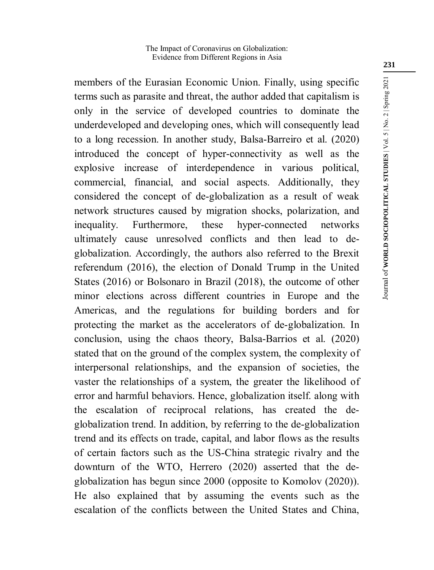members of the Eurasian Economic Union. Finally, using specific terms such as parasite and threat, the author added that capitalism is only in the service of developed countries to dominate the underdeveloped and developing ones, which will consequently lead to a long recession. In another study, Balsa-Barreiro et al. (2020) introduced the concept of hyper-connectivity as well as the explosive increase of interdependence in various political, commercial, financial, and social aspects. Additionally, they considered the concept of de-globalization as a result of weak network structures caused by migration shocks, polarization, and inequality. Furthermore, these hyper-connected networks ultimately cause unresolved conflicts and then lead to deglobalization. Accordingly, the authors also referred to the Brexit referendum (2016), the election of Donald Trump in the United States (2016) or Bolsonaro in Brazil (2018), the outcome of other minor elections across different countries in Europe and the Americas, and the regulations for building borders and for protecting the market as the accelerators of de-globalization. In conclusion, using the chaos theory, Balsa-Barrios et al. (2020) stated that on the ground of the complex system, the complexity of interpersonal relationships, and the expansion of societies, the vaster the relationships of a system, the greater the likelihood of error and harmful behaviors. Hence, globalization itself. along with the escalation of reciprocal relations, has created the deglobalization trend. In addition, by referring to the de-globalization trend and its effects on trade, capital, and labor flows as the results of certain factors such as the US-China strategic rivalry and the downturn of the WTO, Herrero (2020) asserted that the deglobalization has begun since 2000 (opposite to Komolov (2020)). He also explained that by assuming the events such as the escalation of the conflicts between the United States and China,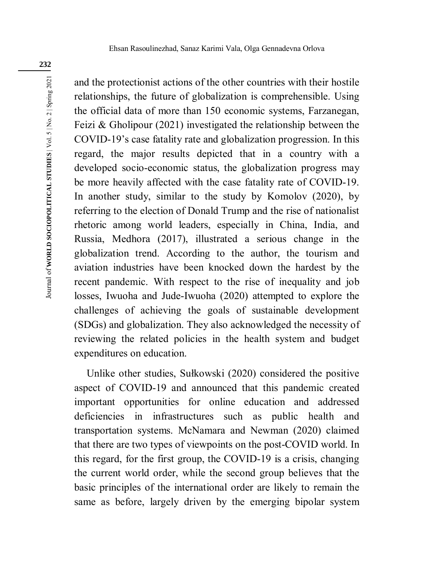Journal of WORLD SOCIOPOLITICAL STUDIES | Vol. 5 | No. 2 | Spring 2021 Journal of **WORLD SOCIOPOLITICAL STUDIES** | Vol. 5 | No. 2 | Spring 2021

and the protectionist actions of the other countries with their hostile relationships, the future of globalization is comprehensible. Using the official data of more than 150 economic systems, Farzanegan, Feizi & Gholipour (2021) investigated the relationship between the COVID-19's case fatality rate and globalization progression. In this regard, the major results depicted that in a country with a developed socio-economic status, the globalization progress may be more heavily affected with the case fatality rate of COVID-19. In another study, similar to the study by Komolov (2020), by referring to the election of Donald Trump and the rise of nationalist rhetoric among world leaders, especially in China, India, and Russia, Medhora (2017), illustrated a serious change in the globalization trend. According to the author, the tourism and aviation industries have been knocked down the hardest by the recent pandemic. With respect to the rise of inequality and job losses, Iwuoha and Jude-Iwuoha (2020) attempted to explore the challenges of achieving the goals of sustainable development (SDGs) and globalization. They also acknowledged the necessity of reviewing the related policies in the health system and budget expenditures on education.

Unlike other studies, Sułkowski (2020) considered the positive aspect of COVID-19 and announced that this pandemic created important opportunities for online education and addressed deficiencies in infrastructures such as public health and transportation systems. McNamara and Newman (2020) claimed that there are two types of viewpoints on the post-COVID world. In this regard, for the first group, the COVID-19 is a crisis, changing the current world order, while the second group believes that the basic principles of the international order are likely to remain the same as before, largely driven by the emerging bipolar system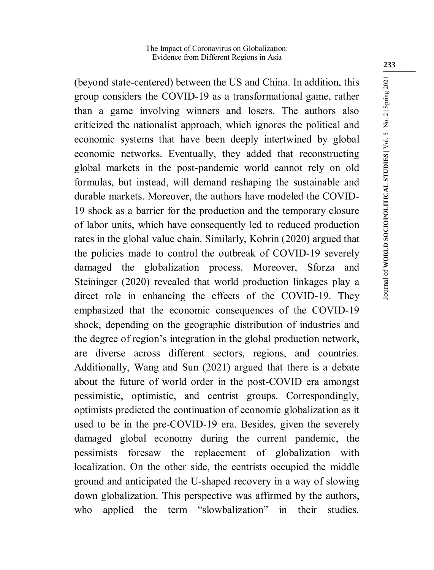(beyond state-centered) between the US and China. In addition, this group considers the COVID-19 as a transformational game, rather than a game involving winners and losers. The authors also criticized the nationalist approach, which ignores the political and economic systems that have been deeply intertwined by global economic networks. Eventually, they added that reconstructing global markets in the post-pandemic world cannot rely on old formulas, but instead, will demand reshaping the sustainable and durable markets. Moreover, the authors have modeled the COVID-19 shock as a barrier for the production and the temporary closure of labor units, which have consequently led to reduced production rates in the global value chain. Similarly, Kobrin (2020) argued that the policies made to control the outbreak of COVID-19 severely damaged the globalization process. Moreover, Sforza and Steininger (2020) revealed that world production linkages play a direct role in enhancing the effects of the COVID-19. They emphasized that the economic consequences of the COVID-19 shock, depending on the geographic distribution of industries and the degree of region's integration in the global production network, are diverse across different sectors, regions, and countries. Additionally, Wang and Sun (2021) argued that there is a debate about the future of world order in the post-COVID era amongst pessimistic, optimistic, and centrist groups. Correspondingly, optimists predicted the continuation of economic globalization as it used to be in the pre-COVID-19 era. Besides, given the severely damaged global economy during the current pandemic, the pessimists foresaw the replacement of globalization with localization. On the other side, the centrists occupied the middle ground and anticipated the U-shaped recovery in a way of slowing down globalization. This perspective was affirmed by the authors, who applied the term "slowbalization" in their studies.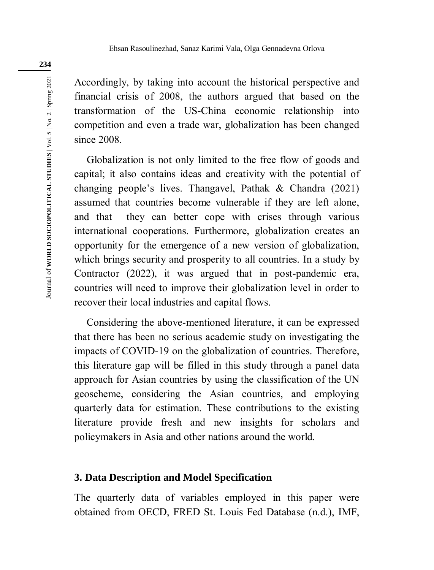Accordingly, by taking into account the historical perspective and financial crisis of 2008, the authors argued that based on the transformation of the US-China economic relationship into competition and even a trade war, globalization has been changed since 2008.

Globalization is not only limited to the free flow of goods and capital; it also contains ideas and creativity with the potential of changing people's lives. Thangavel, Pathak & Chandra (2021) assumed that countries become vulnerable if they are left alone, and that they can better cope with crises through various international cooperations. Furthermore, globalization creates an opportunity for the emergence of a new version of globalization, which brings security and prosperity to all countries. In a study by Contractor (2022), it was argued that in post-pandemic era, countries will need to improve their globalization level in order to recover their local industries and capital flows.

Considering the above-mentioned literature, it can be expressed that there has been no serious academic study on investigating the impacts of COVID-19 on the globalization of countries. Therefore, this literature gap will be filled in this study through a panel data approach for Asian countries by using the classification of the UN geoscheme, considering the Asian countries, and employing quarterly data for estimation. These contributions to the existing literature provide fresh and new insights for scholars and policymakers in Asia and other nations around the world.

### **3. Data Description and Model Specification**

The quarterly data of variables employed in this paper were obtained from OECD, FRED St. Louis Fed Database (n.d.), IMF,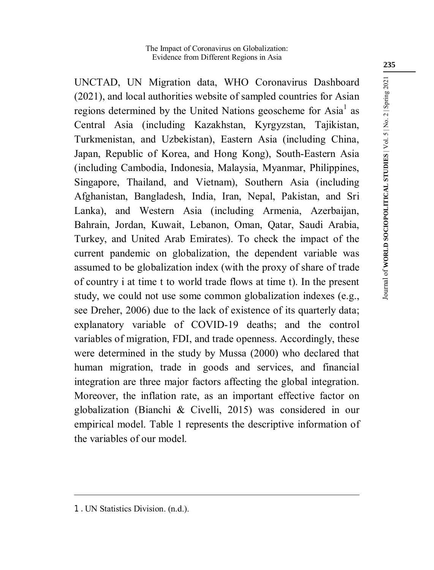UNCTAD, UN Migration data, WHO Coronavirus Dashboard (2021), and local authorities website of sampled countries for Asian regions determined by the United Nations geoscheme for Asia<sup>1</sup> as Central Asia (including Kazakhstan, Kyrgyzstan, Tajikistan, Turkmenistan, and Uzbekistan), Eastern Asia (including China, Japan, Republic of Korea, and Hong Kong), South-Eastern Asia (including Cambodia, Indonesia, Malaysia, Myanmar, Philippines, Singapore, Thailand, and Vietnam), Southern Asia (including Afghanistan, Bangladesh, India, Iran, Nepal, Pakistan, and Sri Lanka), and Western Asia (including Armenia, Azerbaijan, Bahrain, Jordan, Kuwait, Lebanon, Oman, Qatar, Saudi Arabia, Turkey, and United Arab Emirates). To check the impact of the current pandemic on globalization, the dependent variable was assumed to be globalization index (with the proxy of share of trade of country i at time t to world trade flows at time t). In the present study, we could not use some common globalization indexes (e.g., see Dreher, 2006) due to the lack of existence of its quarterly data; explanatory variable of COVID-19 deaths; and the control variables of migration, FDI, and trade openness. Accordingly, these were determined in the study by Mussa (2000) who declared that human migration, trade in goods and services, and financial integration are three major factors affecting the global integration. Moreover, the inflation rate, as an important effective factor on globalization (Bianchi & Civelli, 2015) was considered in our empirical model. Table 1 represents the descriptive information of the variables of our model.

<u>.</u>

Journal of WORLD SOCIOPOLITICAL STUDIES | Vol. 5 | No. 2 | Spring 2021 Journal of **WORLD SOCIOPOLITICAL STUDIES** | Vol. 5 | No. 2 | Spring 2021

<sup>1 .</sup> UN Statistics Division. (n.d.).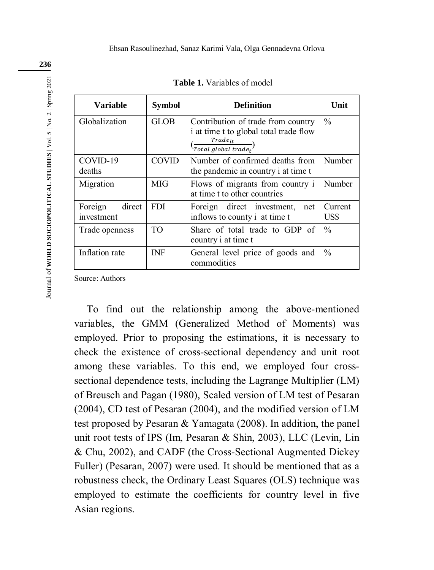| Variable                        | <b>Symbol</b>                                                                    | <b>Definition</b>                                                                                                                                         | Unit            |
|---------------------------------|----------------------------------------------------------------------------------|-----------------------------------------------------------------------------------------------------------------------------------------------------------|-----------------|
| Globalization                   | <b>GLOB</b>                                                                      | Contribution of trade from country<br>i at time t to global total trade flow<br>Trade <sub>it</sub><br>$\frac{1}{\sqrt{T} \text{total global trade}_{t}}$ | $\frac{0}{0}$   |
| COVID-19<br>deaths              | COVID                                                                            | Number of confirmed deaths from<br>the pandemic in country i at time t                                                                                    | Number          |
| Migration                       | MIG                                                                              | Flows of migrants from country i<br>at time t to other countries                                                                                          | Number          |
| direct<br>Foreign<br>investment | <b>FDI</b><br>Foreign direct investment,<br>net<br>inflows to county i at time t |                                                                                                                                                           | Current<br>US\$ |
| Trade openness                  | TO <sub>1</sub>                                                                  | Share of total trade to GDP of<br>country i at time t                                                                                                     | $\frac{0}{0}$   |
| Inflation rate                  | <b>INF</b>                                                                       | General level price of goods and<br>commodities                                                                                                           | $\frac{0}{0}$   |

**Table 1.** Variables of model

Source: Authors

To find out the relationship among the above-mentioned variables, the GMM (Generalized Method of Moments) was employed. Prior to proposing the estimations, it is necessary to check the existence of cross-sectional dependency and unit root among these variables. To this end, we employed four crosssectional dependence tests, including the Lagrange Multiplier (LM) of Breusch and Pagan (1980), Scaled version of LM test of Pesaran (2004), CD test of Pesaran (2004), and the modified version of LM test proposed by Pesaran & Yamagata (2008). In addition, the panel unit root tests of IPS (Im, Pesaran & Shin, 2003), LLC (Levin, Lin & Chu, 2002), and CADF (the Cross-Sectional Augmented Dickey Fuller) (Pesaran, 2007) were used. It should be mentioned that as a robustness check, the Ordinary Least Squares (OLS) technique was employed to estimate the coefficients for country level in five Asian regions.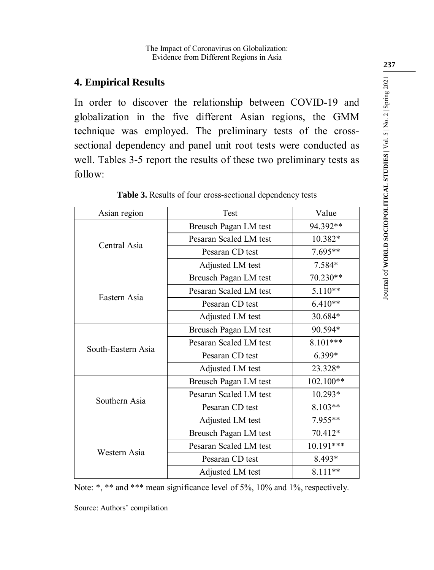# **4. Empirical Results**

In order to discover the relationship between COVID-19 and globalization in the five different Asian regions, the GMM technique was employed. The preliminary tests of the crosssectional dependency and panel unit root tests were conducted as well. Tables 3-5 report the results of these two preliminary tests as follow:

| Asian region       | Test                   | Value     |
|--------------------|------------------------|-----------|
|                    | Breusch Pagan LM test  | 94.392**  |
| Central Asia       | Pesaran Scaled LM test | 10.382*   |
|                    | Pesaran CD test        | 7.695**   |
|                    | Adjusted LM test       | $7.584*$  |
|                    | Breusch Pagan LM test  | 70.230**  |
| Eastern Asia       | Pesaran Scaled LM test | 5.110**   |
|                    | Pesaran CD test        | $6.410**$ |
|                    | Adjusted LM test       | 30.684*   |
|                    | Breusch Pagan LM test  | 90.594*   |
| South-Eastern Asia | Pesaran Scaled LM test | 8.101***  |
|                    | Pesaran CD test        | 6.399*    |
|                    | Adjusted LM test       | 23.328*   |
|                    | Breusch Pagan LM test  | 102.100** |
| Southern Asia      | Pesaran Scaled LM test | 10.293*   |
|                    | Pesaran CD test        | 8.103**   |
|                    | Adjusted LM test       | 7.955**   |
|                    | Breusch Pagan LM test  | 70.412*   |
| Western Asia       | Pesaran Scaled LM test | 10.191*** |
|                    | Pesaran CD test        | 8.493*    |
|                    | Adjusted LM test       | 8.111**   |

|  |  |  | Table 3. Results of four cross-sectional dependency tests |
|--|--|--|-----------------------------------------------------------|
|--|--|--|-----------------------------------------------------------|

|  |  |  | Note: *, ** and *** mean significance level of 5%, 10% and 1%, respectively. |
|--|--|--|------------------------------------------------------------------------------|
|  |  |  |                                                                              |

Source: Authors' compilation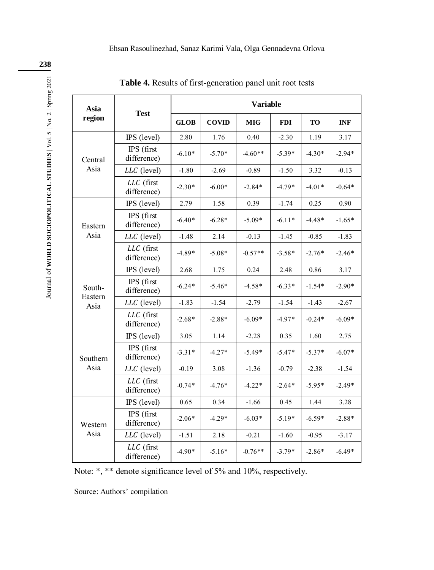| Asia              |                           | <b>Variable</b> |              |            |            |          |            |
|-------------------|---------------------------|-----------------|--------------|------------|------------|----------|------------|
| region            | <b>Test</b>               |                 | <b>COVID</b> | <b>MIG</b> | <b>FDI</b> | TO       | <b>INF</b> |
|                   | IPS (level)               | 2.80            | 1.76         | 0.40       | $-2.30$    | 1.19     | 3.17       |
| Central           | IPS (first<br>difference) | $-6.10*$        | $-5.70*$     | $-4.60**$  | $-5.39*$   | $-4.30*$ | $-2.94*$   |
| Asia              | LLC (level)               | $-1.80$         | $-2.69$      | $-0.89$    | $-1.50$    | 3.32     | $-0.13$    |
|                   | LLC (first<br>difference) | $-2.30*$        | $-6.00*$     | $-2.84*$   | $-4.79*$   | $-4.01*$ | $-0.64*$   |
|                   | IPS (level)               | 2.79            | 1.58         | 0.39       | $-1.74$    | 0.25     | 0.90       |
| Eastern           | IPS (first<br>difference) | $-6.40*$        | $-6.28*$     | $-5.09*$   | $-6.11*$   | $-4.48*$ | $-1.65*$   |
| Asia              | LLC (level)               | $-1.48$         | 2.14         | $-0.13$    | $-1.45$    | $-0.85$  | $-1.83$    |
|                   | LLC (first<br>difference) | $-4.89*$        | $-5.08*$     | $-0.57**$  | $-3.58*$   | $-2.76*$ | $-2.46*$   |
|                   | IPS (level)               | 2.68            | 1.75         | 0.24       | 2.48       | 0.86     | 3.17       |
| South-<br>Eastern | IPS (first<br>difference) | $-6.24*$        | $-5.46*$     | $-4.58*$   | $-6.33*$   | $-1.54*$ | $-2.90*$   |
| Asia              | LLC (level)               | $-1.83$         | $-1.54$      | $-2.79$    | $-1.54$    | $-1.43$  | $-2.67$    |
|                   | LLC (first<br>difference) | $-2.68*$        | $-2.88*$     | $-6.09*$   | $-4.97*$   | $-0.24*$ | $-6.09*$   |
|                   | IPS (level)               | 3.05            | 1.14         | $-2.28$    | 0.35       | 1.60     | 2.75       |
| Southern          | IPS (first<br>difference) | $-3.31*$        | $-4.27*$     | $-5.49*$   | $-5.47*$   | $-5.37*$ | $-6.07*$   |
| Asia              | LLC (level)               | $-0.19$         | 3.08         | $-1.36$    | $-0.79$    | $-2.38$  | $-1.54$    |
|                   | LLC (first<br>difference) | $-0.74*$        | $-4.76*$     | $-4.22*$   | $-2.64*$   | $-5.95*$ | $-2.49*$   |
|                   | IPS (level)               | 0.65            | 0.34         | $-1.66$    | 0.45       | 1.44     | 3.28       |
| Western           | IPS (first<br>difference) | $-2.06*$        | $-4.29*$     | $-6.03*$   | $-5.19*$   | $-6.59*$ | $-2.88*$   |
| Asia              | LLC (level)               | $-1.51$         | 2.18         | $-0.21$    | $-1.60$    | $-0.95$  | $-3.17$    |
|                   | LLC (first<br>difference) | $-4.90*$        | $-5.16*$     | $-0.76**$  | $-3.79*$   | $-2.86*$ | $-6.49*$   |

**Table 4.** Results of first-generation panel unit root tests

Note: \*, \*\* denote significance level of 5% and 10%, respectively.

Source: Authors' compilation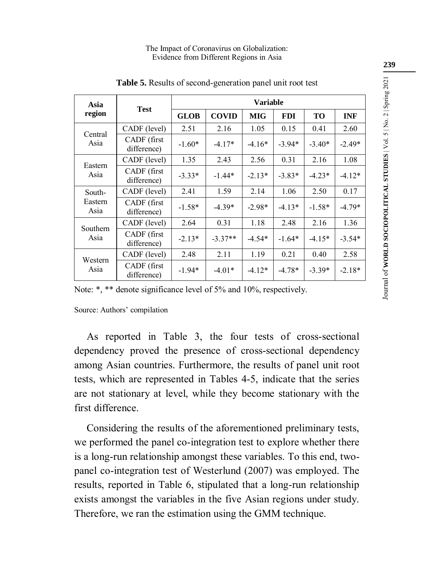| Asia            | <b>Test</b>                 | <b>Variable</b> |              |            |            |          |            |
|-----------------|-----------------------------|-----------------|--------------|------------|------------|----------|------------|
| region          |                             | <b>GLOB</b>     | <b>COVID</b> | <b>MIG</b> | <b>FDI</b> | TO       | <b>INF</b> |
| Central         | CADF (level)                | 2.51            | 2.16         | 1.05       | 0.15       | 0.41     | 2.60       |
| Asia            | CADF (first)<br>difference) | $-1.60*$        | $-4.17*$     | $-4.16*$   | $-3.94*$   | $-3.40*$ | $-2.49*$   |
| Eastern         | CADF (level)                | 1.35            | 2.43         | 2.56       | 0.31       | 2.16     | 1.08       |
| Asia            | CADF (first<br>difference)  | $-3.33*$        | $-1.44*$     | $-2.13*$   | $-3.83*$   | $-4.23*$ | $-4.12*$   |
| South-          | CADF (level)                | 2.41            | 1.59         | 2.14       | 1.06       | 2.50     | 0.17       |
| Eastern<br>Asia | CADF (first)<br>difference) | $-1.58*$        | $-4.39*$     | $-2.98*$   | $-4.13*$   | $-1.58*$ | $-4.79*$   |
| Southern        | CADF (level)                | 2.64            | 0.31         | 1.18       | 2.48       | 2.16     | 1.36       |
| Asia            | CADF (first<br>difference)  | $-2.13*$        | $-3.37**$    | $-4.54*$   | $-1.64*$   | $-4.15*$ | $-3.54*$   |
|                 | CADF (level)                | 2.48            | 2.11         | 1.19       | 0.21       | 0.40     | 2.58       |
| Western<br>Asia | CADF (first)<br>difference) | $-1.94*$        | $-4.01*$     | $-4.12*$   | $-4.78*$   | $-3.39*$ | $-2.18*$   |

**Table 5.** Results of second-generation panel unit root test

Note: \*, \*\* denote significance level of 5% and 10%, respectively.

Source: Authors' compilation

As reported in Table 3, the four tests of cross-sectional dependency proved the presence of cross-sectional dependency among Asian countries. Furthermore, the results of panel unit root tests, which are represented in Tables 4-5, indicate that the series are not stationary at level, while they become stationary with the first difference.

Considering the results of the aforementioned preliminary tests, we performed the panel co-integration test to explore whether there is a long-run relationship amongst these variables. To this end, twopanel co-integration test of Westerlund (2007) was employed. The results, reported in Table 6, stipulated that a long-run relationship exists amongst the variables in the five Asian regions under study. Therefore, we ran the estimation using the GMM technique.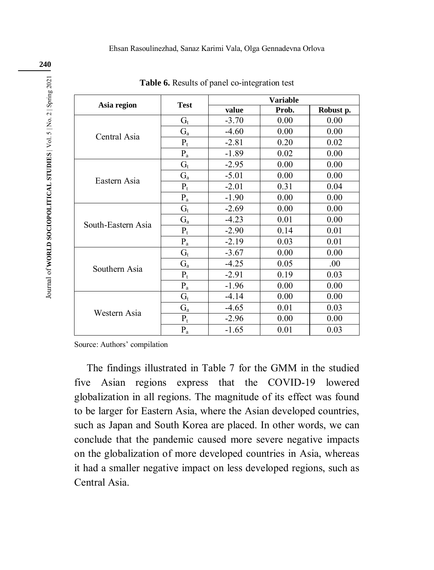|                    |                         |         | <b>Variable</b> |           |
|--------------------|-------------------------|---------|-----------------|-----------|
| Asia region        | <b>Test</b>             | value   | Prob.           | Robust p. |
|                    | $G_t$                   | $-3.70$ | 0.00            | 0.00      |
| Central Asia       | $G_{a}$                 | $-4.60$ | 0.00            | 0.00      |
|                    | $P_t$                   | $-2.81$ | 0.20            | 0.02      |
|                    | $P_a$                   | $-1.89$ | 0.02            | 0.00      |
|                    | $G_t$                   | $-2.95$ | 0.00            | 0.00      |
|                    | $G_{a}$                 | $-5.01$ | 0.00            | 0.00      |
| Eastern Asia       | $P_t$                   | $-2.01$ | 0.31            | 0.04      |
|                    | $P_a$                   | $-1.90$ | 0.00            | 0.00      |
|                    | $G_t$                   | $-2.69$ | 0.00            | 0.00      |
|                    | $G_{a}$                 | $-4.23$ | 0.01            | 0.00      |
| South-Eastern Asia | $P_t$                   | $-2.90$ | 0.14            | 0.01      |
|                    | $\mathbf{P}_{\text{a}}$ | $-2.19$ | 0.03            | 0.01      |
|                    | $G_t$                   | $-3.67$ | 0.00            | 0.00      |
| Southern Asia      | $G_{a}$                 | $-4.25$ | 0.05            | .00.      |
|                    | $P_t$                   | $-2.91$ | 0.19            | 0.03      |
|                    | $P_a$                   | $-1.96$ | 0.00            | 0.00      |
|                    | $G_t$                   | $-4.14$ | 0.00            | 0.00      |
| Western Asia       | $G_{a}$                 | $-4.65$ | 0.01            | 0.03      |
|                    | $P_t$                   | $-2.96$ | 0.00            | 0.00      |
|                    | $P_a$                   | $-1.65$ | 0.01            | 0.03      |

**Table 6.** Results of panel co-integration test

Source: Authors' compilation

The findings illustrated in Table 7 for the GMM in the studied five Asian regions express that the COVID-19 lowered globalization in all regions. The magnitude of its effect was found to be larger for Eastern Asia, where the Asian developed countries, such as Japan and South Korea are placed. In other words, we can conclude that the pandemic caused more severe negative impacts on the globalization of more developed countries in Asia, whereas it had a smaller negative impact on less developed regions, such as Central Asia.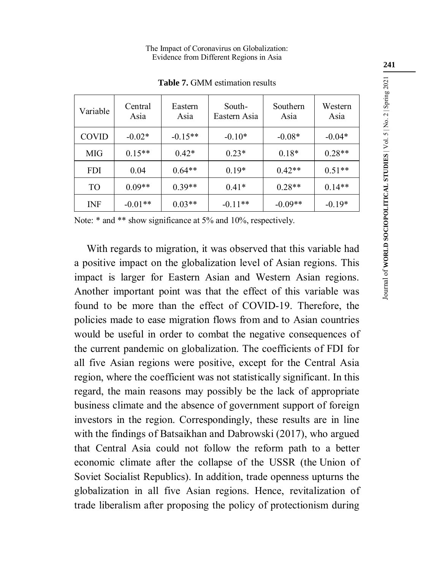| Variable     | Central<br>Asia | Eastern<br>Asia | South-<br>Eastern Asia | Southern<br>Asia | Western<br>Asia |
|--------------|-----------------|-----------------|------------------------|------------------|-----------------|
| <b>COVID</b> | $-0.02*$        | $-0.15**$       | $-0.10*$               | $-0.08*$         | $-0.04*$        |
| MIG          | $0.15**$        | $0.42*$         | $0.23*$                | $0.18*$          | $0.28**$        |
| <b>FDI</b>   | 0.04            | $0.64**$        | $0.19*$                | $0.42**$         | $0.51**$        |
| TO           | $0.09**$        | $0.39**$        | $0.41*$                | $0.28**$         | $0.14**$        |
| INF          | $-0.01**$       | $0.03**$        | $-0.11**$              | $-0.09**$        | $-0.19*$        |

**Table 7.** GMM estimation results

Note:  $*$  and  $**$  show significance at 5% and 10%, respectively.

With regards to migration, it was observed that this variable had a positive impact on the globalization level of Asian regions. This impact is larger for Eastern Asian and Western Asian regions. Another important point was that the effect of this variable was found to be more than the effect of COVID-19. Therefore, the policies made to ease migration flows from and to Asian countries would be useful in order to combat the negative consequences of the current pandemic on globalization. The coefficients of FDI for all five Asian regions were positive, except for the Central Asia region, where the coefficient was not statistically significant. In this regard, the main reasons may possibly be the lack of appropriate business climate and the absence of government support of foreign investors in the region. Correspondingly, these results are in line with the findings of Batsaikhan and Dabrowski (2017), who argued that Central Asia could not follow the reform path to a better economic climate after the collapse of the USSR (the Union of Soviet Socialist Republics). In addition, trade openness upturns the globalization in all five Asian regions. Hence, revitalization of trade liberalism after proposing the policy of protectionism during

**241**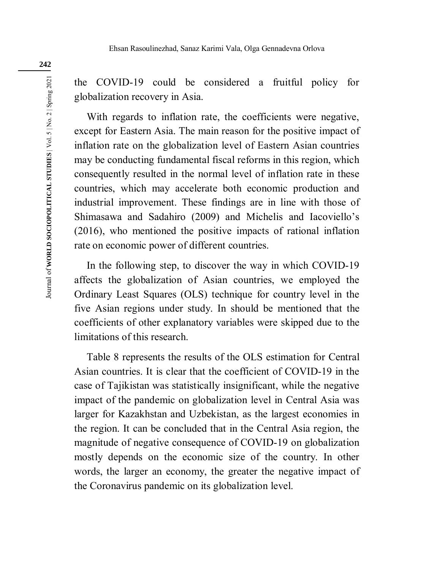the COVID-19 could be considered a fruitful policy for globalization recovery in Asia.

With regards to inflation rate, the coefficients were negative, except for Eastern Asia. The main reason for the positive impact of inflation rate on the globalization level of Eastern Asian countries may be conducting fundamental fiscal reforms in this region, which consequently resulted in the normal level of inflation rate in these countries, which may accelerate both economic production and industrial improvement. These findings are in line with those of Shimasawa and Sadahiro (2009) and Michelis and Iacoviello's (2016), who mentioned the positive impacts of rational inflation rate on economic power of different countries.

In the following step, to discover the way in which COVID-19 affects the globalization of Asian countries, we employed the Ordinary Least Squares (OLS) technique for country level in the five Asian regions under study. In should be mentioned that the coefficients of other explanatory variables were skipped due to the limitations of this research.

Table 8 represents the results of the OLS estimation for Central Asian countries. It is clear that the coefficient of COVID-19 in the case of Tajikistan was statistically insignificant, while the negative impact of the pandemic on globalization level in Central Asia was larger for Kazakhstan and Uzbekistan, as the largest economies in the region. It can be concluded that in the Central Asia region, the magnitude of negative consequence of COVID-19 on globalization mostly depends on the economic size of the country. In other words, the larger an economy, the greater the negative impact of the Coronavirus pandemic on its globalization level.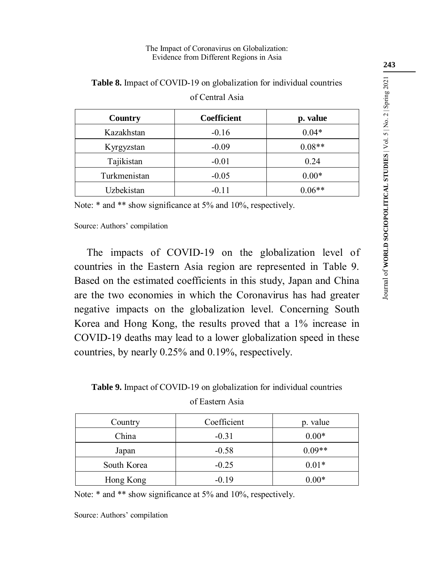| Country      | <b>Coefficient</b> | p. value |
|--------------|--------------------|----------|
| Kazakhstan   | $-0.16$            | $0.04*$  |
| Kyrgyzstan   | $-0.09$            | $0.08**$ |
| Tajikistan   | $-0.01$            | 0.24     |
| Turkmenistan | $-0.05$            | $0.00*$  |
| Uzbekistan   | $-0.11$            | $0.06**$ |

**Table 8.** Impact of COVID-19 on globalization for individual countries of Central Asia

Note:  $*$  and  $**$  show significance at 5% and 10%, respectively.

Source: Authors' compilation

The impacts of COVID-19 on the globalization level of countries in the Eastern Asia region are represented in Table 9. Based on the estimated coefficients in this study, Japan and China are the two economies in which the Coronavirus has had greater negative impacts on the globalization level. Concerning South Korea and Hong Kong, the results proved that a 1% increase in COVID-19 deaths may lead to a lower globalization speed in these countries, by nearly 0.25% and 0.19%, respectively.

**Table 9.** Impact of COVID-19 on globalization for individual countries

of Eastern Asia

| Country     | Coefficient | p. value |
|-------------|-------------|----------|
| China       | $-0.31$     | $0.00*$  |
| Japan       | $-0.58$     | $0.09**$ |
| South Korea | $-0.25$     | $0.01*$  |
| Hong Kong   | $-0.19$     | $0.00*$  |

Note:  $*$  and  $**$  show significance at 5% and 10%, respectively.

Source: Authors' compilation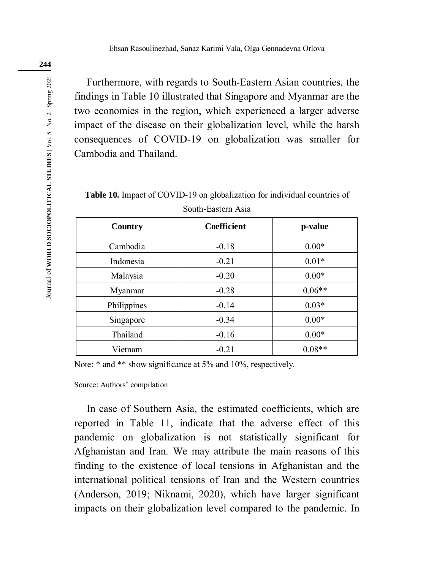Furthermore, with regards to South-Eastern Asian countries, the findings in Table 10 illustrated that Singapore and Myanmar are the two economies in the region, which experienced a larger adverse impact of the disease on their globalization level, while the harsh consequences of COVID-19 on globalization was smaller for Cambodia and Thailand.

**Table 10.** Impact of COVID-19 on globalization for individual countries of South-Eastern Asia

| Country     | Coefficient | p-value  |
|-------------|-------------|----------|
| Cambodia    | $-0.18$     | $0.00*$  |
| Indonesia   | $-0.21$     | $0.01*$  |
| Malaysia    | $-0.20$     | $0.00*$  |
| Myanmar     | $-0.28$     | $0.06**$ |
| Philippines | $-0.14$     | $0.03*$  |
| Singapore   | $-0.34$     | $0.00*$  |
| Thailand    | $-0.16$     | $0.00*$  |
| Vietnam     | $-0.21$     | $0.08**$ |

Note:  $*$  and  $**$  show significance at 5% and 10%, respectively.

Source: Authors' compilation

In case of Southern Asia, the estimated coefficients, which are reported in Table 11, indicate that the adverse effect of this pandemic on globalization is not statistically significant for Afghanistan and Iran. We may attribute the main reasons of this finding to the existence of local tensions in Afghanistan and the international political tensions of Iran and the Western countries (Anderson, 2019; Niknami, 2020), which have larger significant impacts on their globalization level compared to the pandemic. In

**244**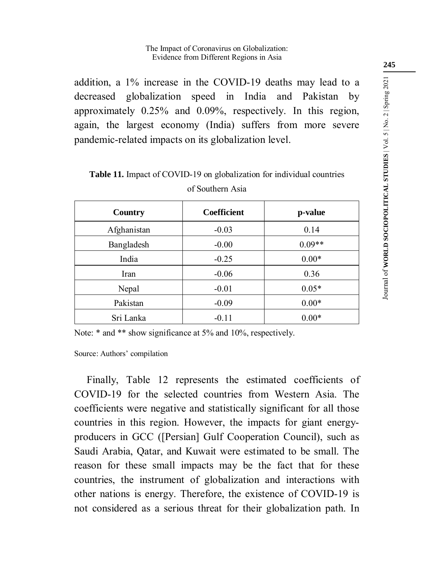addition, a 1% increase in the COVID-19 deaths may lead to a decreased globalization speed in India and Pakistan by approximately 0.25% and 0.09%, respectively. In this region, again, the largest economy (India) suffers from more severe pandemic-related impacts on its globalization level.

**Table 11.** Impact of COVID-19 on globalization for individual countries

| Country     | <b>Coefficient</b> | p-value  |
|-------------|--------------------|----------|
| Afghanistan | $-0.03$            | 0.14     |
| Bangladesh  | $-0.00$            | $0.09**$ |
| India       | $-0.25$            | $0.00*$  |
| Iran        | $-0.06$            | 0.36     |
| Nepal       | $-0.01$            | $0.05*$  |
| Pakistan    | $-0.09$            | $0.00*$  |
| Sri Lanka   | $-0.11$            | $0.00*$  |

#### of Southern Asia

Note:  $*$  and  $**$  show significance at 5% and 10%, respectively.

Source: Authors' compilation

Finally, Table 12 represents the estimated coefficients of COVID-19 for the selected countries from Western Asia. The coefficients were negative and statistically significant for all those countries in this region. However, the impacts for giant energyproducers in GCC ([Persian] Gulf Cooperation Council), such as Saudi Arabia, Qatar, and Kuwait were estimated to be small. The reason for these small impacts may be the fact that for these countries, the instrument of globalization and interactions with other nations is energy. Therefore, the existence of COVID-19 is not considered as a serious threat for their globalization path. In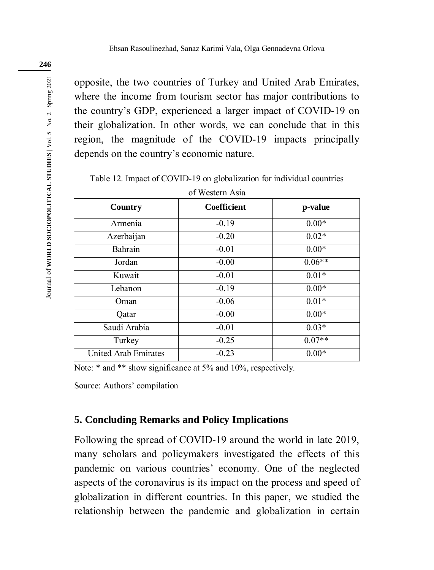opposite, the two countries of Turkey and United Arab Emirates, where the income from tourism sector has major contributions to the country's GDP, experienced a larger impact of COVID-19 on their globalization. In other words, we can conclude that in this region, the magnitude of the COVID-19 impacts principally depends on the country's economic nature.

Table 12. Impact of COVID-19 on globalization for individual countries

| <b>Country</b>       | <b>Coefficient</b> | p-value  |
|----------------------|--------------------|----------|
| Armenia              | $-0.19$            | $0.00*$  |
| Azerbaijan           | $-0.20$            | $0.02*$  |
| Bahrain              | $-0.01$            | $0.00*$  |
| Jordan               | $-0.00$            | $0.06**$ |
| Kuwait               | $-0.01$            | $0.01*$  |
| Lebanon              | $-0.19$            | $0.00*$  |
| Oman                 | $-0.06$            | $0.01*$  |
| Qatar                | $-0.00$            | $0.00*$  |
| Saudi Arabia         | $-0.01$            | $0.03*$  |
| Turkey               | $-0.25$            | $0.07**$ |
| United Arab Emirates | $-0.23$            | $0.00*$  |

of Western Asia

Note:  $*$  and  $**$  show significance at 5% and 10%, respectively.

Source: Authors' compilation

## **5. Concluding Remarks and Policy Implications**

Following the spread of COVID-19 around the world in late 2019, many scholars and policymakers investigated the effects of this pandemic on various countries' economy. One of the neglected aspects of the coronavirus is its impact on the process and speed of globalization in different countries. In this paper, we studied the relationship between the pandemic and globalization in certain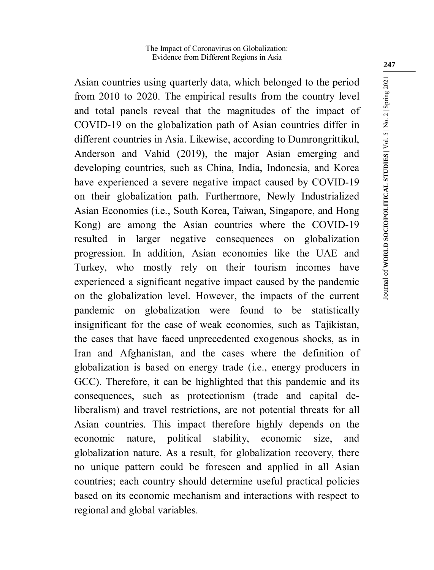Asian countries using quarterly data, which belonged to the period from 2010 to 2020. The empirical results from the country level and total panels reveal that the magnitudes of the impact of COVID-19 on the globalization path of Asian countries differ in different countries in Asia. Likewise, according to Dumrongrittikul, Anderson and Vahid (2019), the major Asian emerging and developing countries, such as China, India, Indonesia, and Korea have experienced a severe negative impact caused by COVID-19 on their globalization path. Furthermore, Newly Industrialized Asian Economies (i.e., South Korea, Taiwan, Singapore, and Hong Kong) are among the Asian countries where the COVID-19 resulted in larger negative consequences on globalization progression. In addition, Asian economies like the UAE and Turkey, who mostly rely on their tourism incomes have experienced a significant negative impact caused by the pandemic on the globalization level. However, the impacts of the current pandemic on globalization were found to be statistically insignificant for the case of weak economies, such as Tajikistan, the cases that have faced unprecedented exogenous shocks, as in Iran and Afghanistan, and the cases where the definition of globalization is based on energy trade (i.e., energy producers in GCC). Therefore, it can be highlighted that this pandemic and its consequences, such as protectionism (trade and capital deliberalism) and travel restrictions, are not potential threats for all Asian countries. This impact therefore highly depends on the economic nature, political stability, economic size, and globalization nature. As a result, for globalization recovery, there no unique pattern could be foreseen and applied in all Asian countries; each country should determine useful practical policies based on its economic mechanism and interactions with respect to regional and global variables.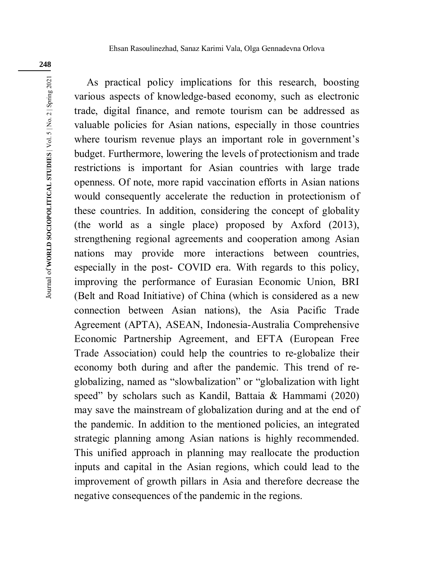Journal of WORLD SOCIOPOLITICAL STUDIES | Vol. 5 | No. 2 | Spring 2021 Journal of **WORLD SOCIOPOLITICAL STUDIES** | Vol. 5 | No. 2 | Spring 2021

As practical policy implications for this research, boosting various aspects of knowledge-based economy, such as electronic trade, digital finance, and remote tourism can be addressed as valuable policies for Asian nations, especially in those countries where tourism revenue plays an important role in government's budget. Furthermore, lowering the levels of protectionism and trade restrictions is important for Asian countries with large trade openness. Of note, more rapid vaccination efforts in Asian nations would consequently accelerate the reduction in protectionism of these countries. In addition, considering the concept of globality (the world as a single place) proposed by Axford (2013), strengthening regional agreements and cooperation among Asian nations may provide more interactions between countries, especially in the post- COVID era. With regards to this policy, improving the performance of Eurasian Economic Union, BRI (Belt and Road Initiative) of China (which is considered as a new connection between Asian nations), the Asia Pacific Trade Agreement (APTA), ASEAN, Indonesia-Australia Comprehensive Economic Partnership Agreement, and EFTA (European Free Trade Association) could help the countries to re-globalize their economy both during and after the pandemic. This trend of reglobalizing, named as "slowbalization" or "globalization with light speed" by scholars such as Kandil, Battaia & Hammami (2020) may save the mainstream of globalization during and at the end of the pandemic. In addition to the mentioned policies, an integrated strategic planning among Asian nations is highly recommended. This unified approach in planning may reallocate the production inputs and capital in the Asian regions, which could lead to the improvement of growth pillars in Asia and therefore decrease the negative consequences of the pandemic in the regions.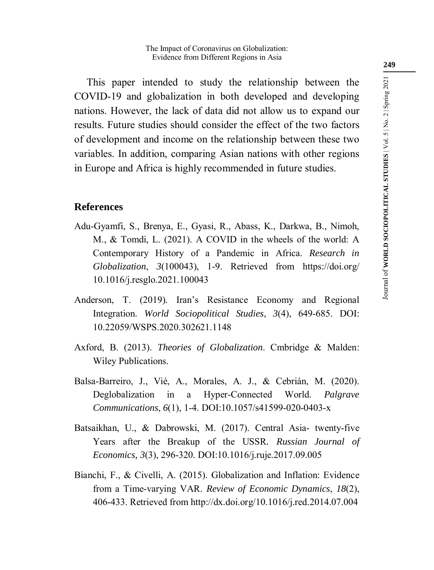This paper intended to study the relationship between the COVID-19 and globalization in both developed and developing nations. However, the lack of data did not allow us to expand our results. Future studies should consider the effect of the two factors of development and income on the relationship between these two variables. In addition, comparing Asian nations with other regions in Europe and Africa is highly recommended in future studies.

### **References**

- Adu-Gyamfi, S., Brenya, E., Gyasi, R., Abass, K., Darkwa, B., Nimoh, M., & Tomdi, L. (2021). A COVID in the wheels of the world: A Contemporary History of a Pandemic in Africa. *Research in Globalization*, *3*(100043), 1-9. Retrieved from https://doi.org/ 10.1016/j.resglo.2021.100043
- Anderson, T. (2019). Iran's Resistance Economy and Regional Integration. *World Sociopolitical Studies*, *3*(4), 649-685. DOI: 10.22059/WSPS.2020.302621.1148
- Axford, B. (2013). *Theories of Globalization*. Cmbridge & Malden: Wiley Publications.
- Balsa-Barreiro, J., Vié, A., Morales, A. J., & Cebrián, M. (2020). Deglobalization in a Hyper-Connected World. *Palgrave Communications*, *6*(1), 1-4. DOI:10.1057/s41599-020-0403-x
- Batsaikhan, U., & Dabrowski, M. (2017). Central Asia- twenty-five Years after the Breakup of the USSR*. Russian Journal of Economics, 3*(3), 296-320. DOI:10.1016/j.ruje.2017.09.005
- Bianchi, F., & Civelli, A. (2015). Globalization and Inflation: Evidence from a Time-varying VAR. *Review of Economic Dynamics*, *18*(2), 406-433. Retrieved from http://dx.doi.org/10.1016/j.red.2014.07.004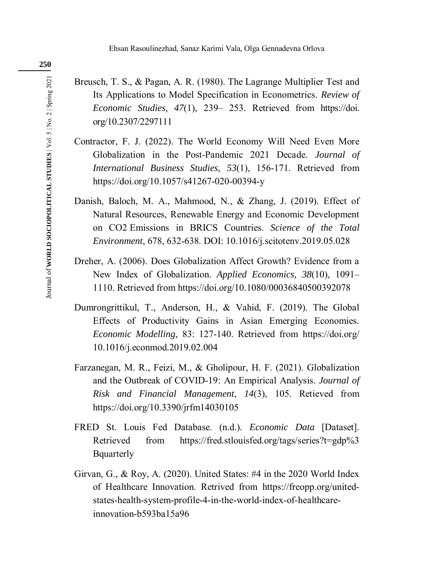- Breusch, T. S., & Pagan, A. R. (1980). The Lagrange Multiplier Test and Its Applications to Model Specification in Econometrics. *Review of Economic Studies, 47*(1), 239– 253. Retrieved from https://doi. org/10.2307/2297111
- Contractor, F. J. (2022). The World Economy Will Need Even More Globalization in the Post-Pandemic 2021 Decade. *Journal of International Business Studies*, *53*(1), 156-171. Retrieved from https://doi.org/10.1057/s41267-020-00394-y
- Danish, Baloch, M. A., Mahmood, N., & Zhang, J. (2019). Effect of Natural Resources, Renewable Energy and Economic Development on CO2 Emissions in BRICS Countries. *Science of the Total Environment*, 678, 632-638. DOI: 10.1016/j.scitotenv.2019.05.028
- Dreher, A. (2006). Does Globalization Affect Growth? Evidence from a New Index of Globalization. *Applied Economics, 38*(10), 1091– 1110. Retrieved from https://doi.org/10.1080/00036840500392078
- Dumrongrittikul, T., Anderson, H., & Vahid, F. (2019). The Global Effects of Productivity Gains in Asian Emerging Economies. *Economic Modelling*, 83: 127-140. Retrieved from https://doi.org/ 10.1016/j.econmod.2019.02.004
- Farzanegan, M. R., Feizi, M., & Gholipour, H. F. (2021). Globalization and the Outbreak of COVID-19: An Empirical Analysis. *Journal of Risk and Financial Management*, *14*(3), 105. Retieved from https://doi.org/10.3390/jrfm14030105
- FRED St. Louis Fed Database. (n.d.). *Economic Data* [Dataset]. Retrieved from https://fred.stlouisfed.org/tags/series?t=gdp%3 Bquarterly
- Girvan, G., & Roy, A. (2020). United States: #4 in the 2020 World Index of Healthcare Innovation. Retrived from https://freopp.org/unitedstates-health-system-profile-4-in-the-world-index-of-healthcareinnovation-b593ba15a96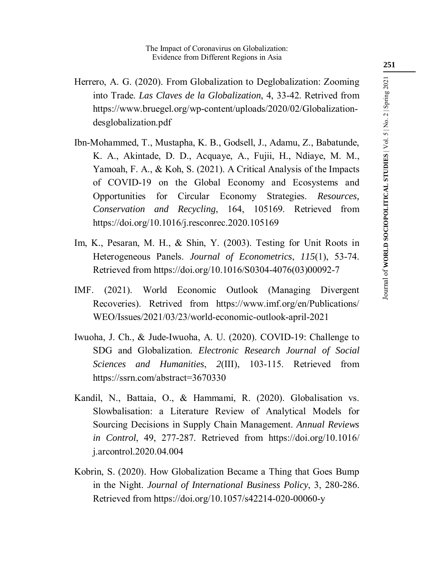- Herrero, A. G. (2020). From Globalization to Deglobalization: Zooming into Trade. *Las Claves de la Globalization*, 4, 33-42. Retrived from https://www.bruegel.org/wp-content/uploads/2020/02/Globalizationdesglobalization.pdf
- Ibn-Mohammed, T., Mustapha, K. B., Godsell, J., Adamu, Z., Babatunde, K. A., Akintade, D. D., Acquaye, A., Fujii, H., Ndiaye, M. M., Yamoah, F. A., & Koh, S. (2021). A Critical Analysis of the Impacts of COVID-19 on the Global Economy and Ecosystems and Opportunities for Circular Economy Strategies. *Resources, Conservation and Recycling*, 164, 105169. Retrieved from https://doi.org/10.1016/j.resconrec.2020.105169
- Im, K., Pesaran, M. H., & Shin, Y. (2003). Testing for Unit Roots in Heterogeneous Panels. *Journal of Econometrics*, *115*(1), 53-74. Retrieved from https://doi.org/10.1016/S0304-4076(03)00092-7
- IMF. (2021). World Economic Outlook (Managing Divergent Recoveries). Retrived from https://www.imf.org/en/Publications/ WEO/Issues/2021/03/23/world-economic-outlook-april-2021
- Iwuoha, J. Ch., & Jude-Iwuoha, A. U. (2020). COVID-19: Challenge to SDG and Globalization. *Electronic Research Journal of Social Sciences and Humanities*, *2*(III), 103-115. Retrieved from https://ssrn.com/abstract=3670330
- Kandil, N., Battaia, O., & Hammami, R. (2020). Globalisation vs. Slowbalisation: a Literature Review of Analytical Models for Sourcing Decisions in Supply Chain Management. *Annual Reviews in Control*, 49, 277-287. Retrieved from https://doi.org/10.1016/ j.arcontrol.2020.04.004
- Kobrin, S. (2020). How Globalization Became a Thing that Goes Bump in the Night. *Journal of International Business Policy*, 3, 280-286. Retrieved from https://doi.org/10.1057/s42214-020-00060-y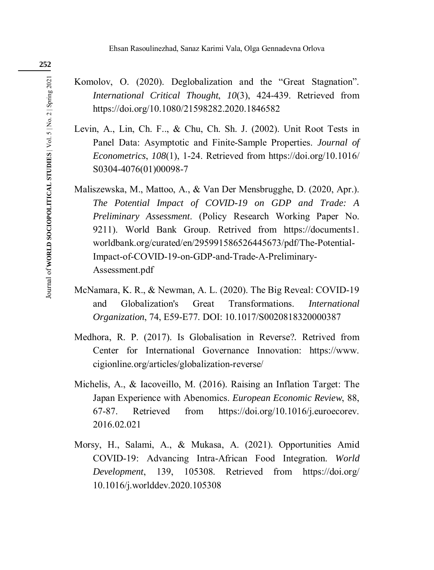- Komolov, O. (2020). Deglobalization and the "Great Stagnation". *International Critical Thought*, *10*(3), 424-439. Retrieved from https://doi.org/10.1080/21598282.2020.1846582
- Levin, A., Lin, Ch. F.., & Chu, Ch. Sh. J. (2002). Unit Root Tests in Panel Data: Asymptotic and Finite-Sample Properties. *Journal of Econometrics*, *108*(1), 1-24. Retrieved from https://doi.org/10.1016/ S0304-4076(01)00098-7
- Maliszewska, M., Mattoo, A., & Van Der Mensbrugghe, D. (2020, Apr.). *The Potential Impact of COVID-19 on GDP and Trade: A Preliminary Assessment*. (Policy Research Working Paper No. 9211). World Bank Group. Retrived from https://documents1. worldbank.org/curated/en/295991586526445673/pdf/The-Potential-Impact-of-COVID-19-on-GDP-and-Trade-A-Preliminary-Assessment.pdf
- McNamara, K. R., & Newman, A. L. (2020). The Big Reveal: COVID-19 and Globalization's Great Transformations. *International Organization*, 74, E59-E77. DOI: 10.1017/S0020818320000387
- Medhora, R. P. (2017). Is Globalisation in Reverse?*.* Retrived from Center for International Governance Innovation: https://www. cigionline.org/articles/globalization-reverse/
- Michelis, A., & Iacoveillo, M. (2016). Raising an Inflation Target: The Japan Experience with Abenomics. *European Economic Review*, 88, 67-87. Retrieved from https://doi.org/10.1016/j.euroecorev. 2016.02.021
- Morsy, H., Salami, A., & Mukasa, A. (2021). Opportunities Amid COVID-19: Advancing Intra-African Food Integration. *World Development*, 139, 105308. Retrieved from https://doi.org/ 10.1016/j.worlddev.2020.105308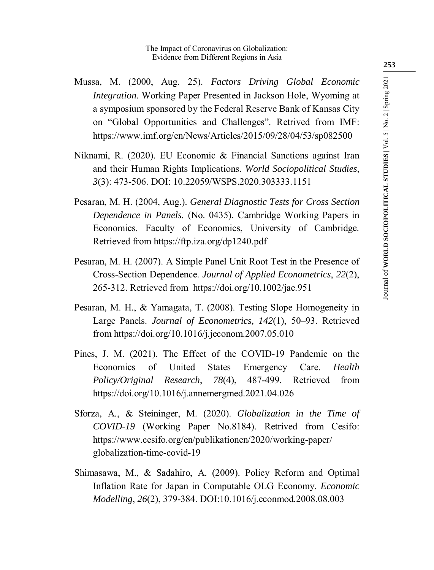- Mussa, M. (2000, Aug. 25). *Factors Driving Global Economic Integration*. Working Paper Presented in Jackson Hole, Wyoming at a symposium sponsored by the Federal Reserve Bank of Kansas City on "Global Opportunities and Challenges". Retrived from IMF: https://www.imf.org/en/News/Articles/2015/09/28/04/53/sp082500
- Niknami, R. (2020). EU Economic & Financial Sanctions against Iran and their Human Rights Implications. *World Sociopolitical Studies*, *3*(3): 473-506. DOI: 10.22059/WSPS.2020.303333.1151
- Pesaran, M. H. (2004, Aug.). *General Diagnostic Tests for Cross Section Dependence in Panels.* (No. 0435). Cambridge Working Papers in Economics. Faculty of Economics, University of Cambridge. Retrieved from https://ftp.iza.org/dp1240.pdf
- Pesaran, M. H. (2007). A Simple Panel Unit Root Test in the Presence of Cross-Section Dependence. *Journal of Applied Econometrics*, *22*(2), 265-312. Retrieved from https://doi.org/10.1002/jae.951
- Pesaran, M. H., & Yamagata, T. (2008). Testing Slope Homogeneity in Large Panels. *Journal of Econometrics, 142*(1), 50–93. Retrieved from https://doi.org/10.1016/j.jeconom.2007.05.010
- Pines, J. M. (2021). The Effect of the COVID-19 Pandemic on the Economics of United States Emergency Care. *Health Policy/Original Research*, *78*(4), 487-499. Retrieved from https://doi.org/10.1016/j.annemergmed.2021.04.026
- Sforza, A., & Steininger, M. (2020). *Globalization in the Time of COVID-19* (Working Paper No.8184). Retrived from Cesifo: https://www.cesifo.org/en/publikationen/2020/working-paper/ globalization-time-covid-19
- Shimasawa, M., & Sadahiro, A. (2009). Policy Reform and Optimal Inflation Rate for Japan in Computable OLG Economy. *Economic Modelling*, *26*(2), 379-384. DOI:10.1016/j.econmod.2008.08.003